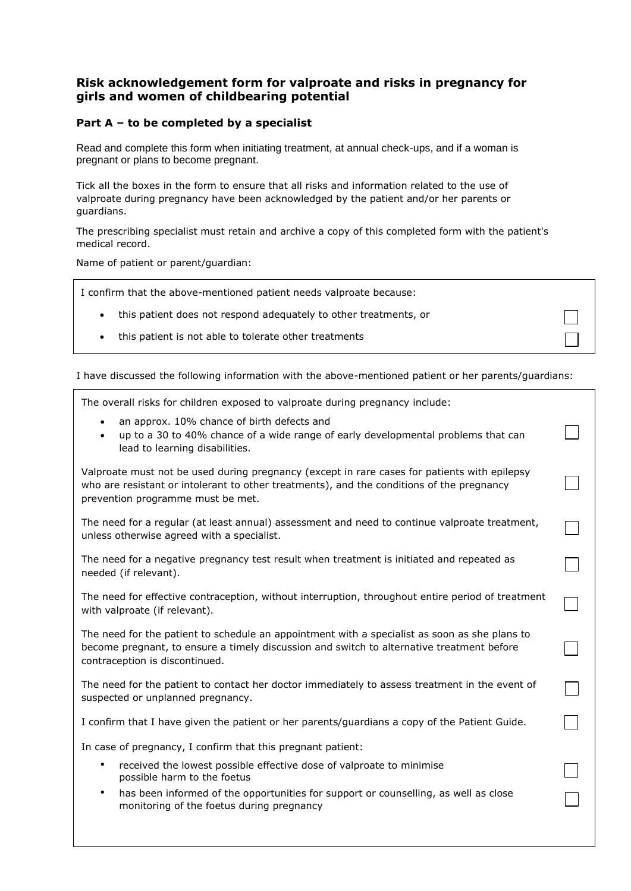# **Risk acknowledgement form for valproate and risks in pregnancy for girls and women of childbearing potential**

### **Part A – to be completed by a specialist**

Read and complete this form when initiating treatment, at annual check-ups, and if a woman is pregnant or plans to become pregnant.

Tick all the boxes in the form to ensure that all risks and information related to the use of valproate during pregnancy have been acknowledged by the patient and/or her parents or guardians.

The prescribing specialist must retain and archive a copy of this completed form with the patient's medical record.

Name of patient or parent/guardian:

| I confirm that the above-mentioned patient needs valproate because: |  |
|---------------------------------------------------------------------|--|
| • this patient does not respond adequately to other treatments, or  |  |

this patient is not able to tolerate other treatments

I have discussed the following information with the above-mentioned patient or her parents/guardians:

 $\vert \ \ \vert$ 

 $\Box$ 

 $\Box$ 

 $\Box$ 

| $\Box$ The overall risks for children exposed to valproate during pregnancy include: |  |
|--------------------------------------------------------------------------------------|--|
| an approx. 10% chance of birth defects and                                           |  |

• up to a 30 to 40% chance of a wide range of early developmental problems that can lead to learning disabilities.

Valproate must not be used during pregnancy (except in rare cases for patients with epilepsy who are resistant or intolerant to other treatments), and the conditions of the pregnancy prevention programme must be met.

The need for a regular (at least annual) assessment and need to continue valproate treatment, unless otherwise agreed with a specialist.

The need for a negative pregnancy test result when treatment is initiated and repeated as needed (if relevant).

The need for effective contraception, without interruption, throughout entire period of treatment with valproate (if relevant).

The need for the patient to schedule an appointment with a specialist as soon as she plans to become pregnant, to ensure a timely discussion and switch to alternative treatment before contraception is discontinued.

The need for the patient to contact her doctor immediately to assess treatment in the event of suspected or unplanned pregnancy.

I confirm that I have given the patient or her parents/guardians a copy of the Patient Guide.

In case of pregnancy, I confirm that this pregnant patient:

- received the lowest possible effective dose of valproate to minimise possible harm to the foetus
- has been informed of the opportunities for support or counselling, as well as close monitoring of the foetus during pregnancy